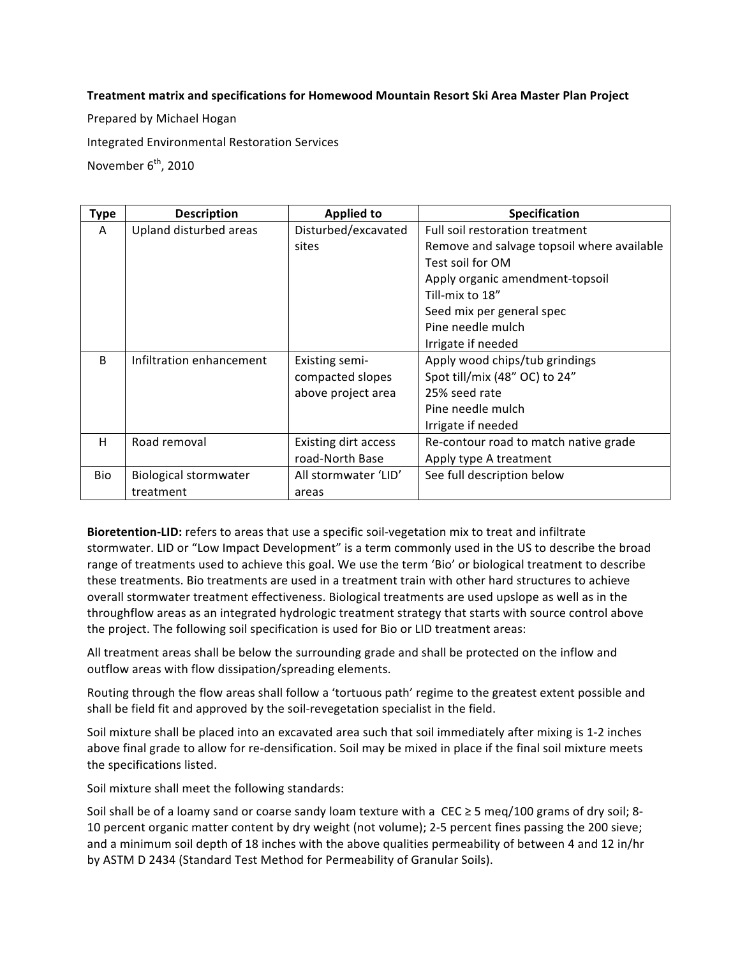## Treatment matrix and specifications for Homewood Mountain Resort Ski Area Master Plan Project

Prepared by Michael Hogan

Integrated Environmental Restoration Services

November 6<sup>th</sup>, 2010

| <b>Type</b>  | <b>Description</b>       | <b>Applied to</b>           | Specification                              |  |
|--------------|--------------------------|-----------------------------|--------------------------------------------|--|
| A            | Upland disturbed areas   | Disturbed/excavated         | Full soil restoration treatment            |  |
|              |                          | sites                       | Remove and salvage topsoil where available |  |
|              |                          |                             | Test soil for OM                           |  |
|              |                          |                             | Apply organic amendment-topsoil            |  |
|              |                          |                             | Till-mix to 18"                            |  |
|              |                          |                             | Seed mix per general spec                  |  |
|              |                          |                             | Pine needle mulch                          |  |
|              |                          |                             | Irrigate if needed                         |  |
| <sub>B</sub> | Infiltration enhancement | <b>Existing semi-</b>       | Apply wood chips/tub grindings             |  |
|              |                          | compacted slopes            | Spot till/mix (48" OC) to 24"              |  |
|              |                          | above project area          | 25% seed rate                              |  |
|              |                          |                             | Pine needle mulch                          |  |
|              |                          |                             | Irrigate if needed                         |  |
| H            | Road removal             | <b>Existing dirt access</b> | Re-contour road to match native grade      |  |
|              |                          | road-North Base             | Apply type A treatment                     |  |
| <b>Bio</b>   | Biological stormwater    | All stormwater 'LID'        | See full description below                 |  |
|              | treatment                | areas                       |                                            |  |

Bioretention-LID: refers to areas that use a specific soil-vegetation mix to treat and infiltrate stormwater. LID or "Low Impact Development" is a term commonly used in the US to describe the broad range of treatments used to achieve this goal. We use the term 'Bio' or biological treatment to describe these treatments. Bio treatments are used in a treatment train with other hard structures to achieve overall stormwater treatment effectiveness. Biological treatments are used upslope as well as in the throughflow areas as an integrated hydrologic treatment strategy that starts with source control above the project. The following soil specification is used for Bio or LID treatment areas:

All treatment areas shall be below the surrounding grade and shall be protected on the inflow and outflow areas with flow dissipation/spreading elements.

Routing through the flow areas shall follow a 'tortuous path' regime to the greatest extent possible and shall be field fit and approved by the soil-revegetation specialist in the field.

Soil mixture shall be placed into an excavated area such that soil immediately after mixing is 1-2 inches above final grade to allow for re-densification. Soil may be mixed in place if the final soil mixture meets the specifications listed.

Soil mixture shall meet the following standards:

Soil shall be of a loamy sand or coarse sandy loam texture with a CEC ≥ 5 meq/100 grams of dry soil; 8-10 percent organic matter content by dry weight (not volume); 2-5 percent fines passing the 200 sieve; and a minimum soil depth of 18 inches with the above qualities permeability of between 4 and 12 in/hr by ASTM D 2434 (Standard Test Method for Permeability of Granular Soils).